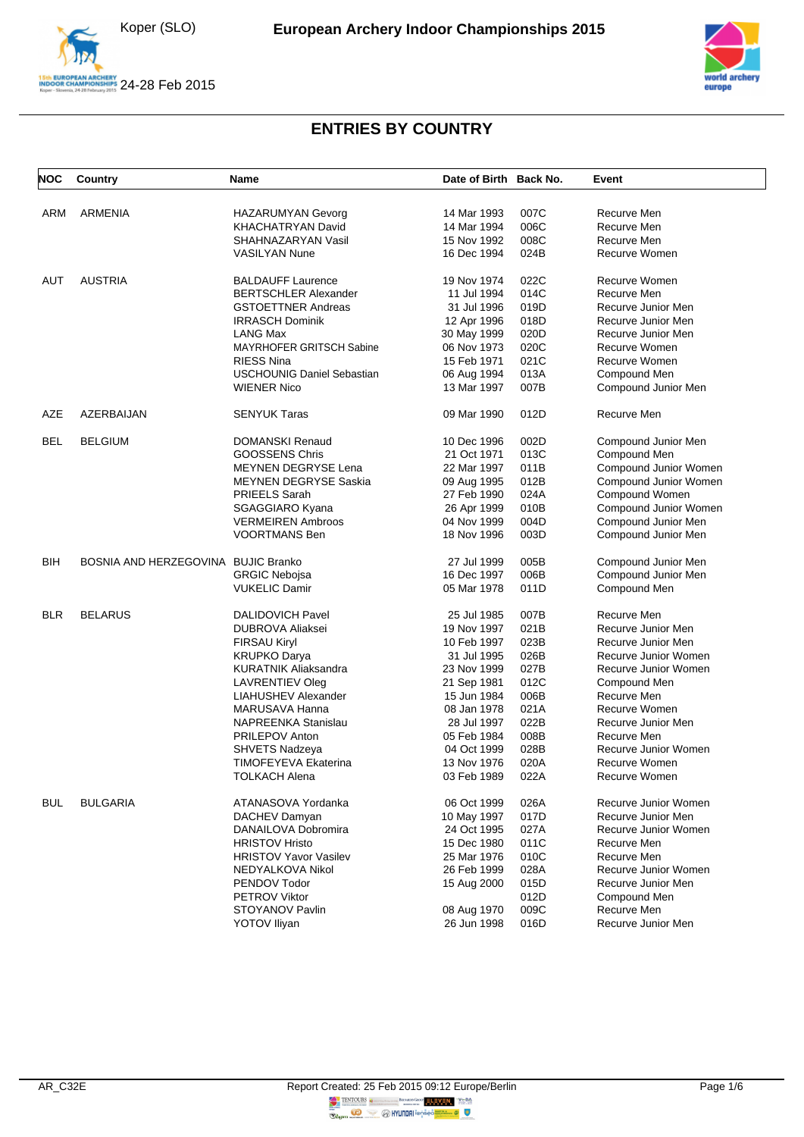





| <b>NOC</b> | Country                             | Name                              | Date of Birth Back No. |      | Event                 |
|------------|-------------------------------------|-----------------------------------|------------------------|------|-----------------------|
| ARM        | ARMENIA                             | HAZARUMYAN Gevorg                 | 14 Mar 1993            | 007C | Recurve Men           |
|            |                                     | <b>KHACHATRYAN David</b>          | 14 Mar 1994            | 006C | Recurve Men           |
|            |                                     | SHAHNAZARYAN Vasil                | 15 Nov 1992            | 008C | Recurve Men           |
|            |                                     | <b>VASILYAN Nune</b>              | 16 Dec 1994            | 024B | Recurve Women         |
|            |                                     |                                   |                        |      |                       |
| AUT        | <b>AUSTRIA</b>                      | <b>BALDAUFF Laurence</b>          | 19 Nov 1974            | 022C | Recurve Women         |
|            |                                     | <b>BERTSCHLER Alexander</b>       | 11 Jul 1994            | 014C | Recurve Men           |
|            |                                     | <b>GSTOETTNER Andreas</b>         | 31 Jul 1996            | 019D | Recurve Junior Men    |
|            |                                     | <b>IRRASCH Dominik</b>            | 12 Apr 1996            | 018D | Recurve Junior Men    |
|            |                                     | <b>LANG Max</b>                   | 30 May 1999            | 020D | Recurve Junior Men    |
|            |                                     | <b>MAYRHOFER GRITSCH Sabine</b>   | 06 Nov 1973            | 020C | Recurve Women         |
|            |                                     | <b>RIESS Nina</b>                 | 15 Feb 1971            | 021C | Recurve Women         |
|            |                                     | <b>USCHOUNIG Daniel Sebastian</b> | 06 Aug 1994            | 013A | Compound Men          |
|            |                                     | <b>WIENER Nico</b>                | 13 Mar 1997            | 007B | Compound Junior Men   |
| AZE        | AZERBAIJAN                          | <b>SENYUK Taras</b>               | 09 Mar 1990            | 012D | Recurve Men           |
| BEL        | <b>BELGIUM</b>                      | DOMANSKI Renaud                   | 10 Dec 1996            | 002D | Compound Junior Men   |
|            |                                     | <b>GOOSSENS Chris</b>             | 21 Oct 1971            | 013C | Compound Men          |
|            |                                     | <b>MEYNEN DEGRYSE Lena</b>        | 22 Mar 1997            | 011B | Compound Junior Women |
|            |                                     | <b>MEYNEN DEGRYSE Saskia</b>      | 09 Aug 1995            | 012B | Compound Junior Women |
|            |                                     | PRIEELS Sarah                     | 27 Feb 1990            | 024A | Compound Women        |
|            |                                     | <b>SGAGGIARO Kyana</b>            | 26 Apr 1999            | 010B | Compound Junior Women |
|            |                                     | <b>VERMEIREN Ambroos</b>          | 04 Nov 1999            | 004D | Compound Junior Men   |
|            |                                     | <b>VOORTMANS Ben</b>              | 18 Nov 1996            | 003D | Compound Junior Men   |
|            |                                     |                                   |                        |      |                       |
| BIH        | BOSNIA AND HERZEGOVINA BUJIC Branko |                                   | 27 Jul 1999            | 005B | Compound Junior Men   |
|            |                                     | <b>GRGIC Nebojsa</b>              | 16 Dec 1997            | 006B | Compound Junior Men   |
|            |                                     | <b>VUKELIC Damir</b>              | 05 Mar 1978            | 011D | Compound Men          |
| <b>BLR</b> | <b>BELARUS</b>                      | <b>DALIDOVICH Pavel</b>           | 25 Jul 1985            | 007B | Recurve Men           |
|            |                                     | <b>DUBROVA Aliaksei</b>           | 19 Nov 1997            | 021B | Recurve Junior Men    |
|            |                                     | <b>FIRSAU Kiryl</b>               | 10 Feb 1997            | 023B | Recurve Junior Men    |
|            |                                     | <b>KRUPKO Darya</b>               | 31 Jul 1995            | 026B | Recurve Junior Women  |
|            |                                     | <b>KURATNIK Aliaksandra</b>       | 23 Nov 1999            | 027B | Recurve Junior Women  |
|            |                                     | LAVRENTIEV Oleg                   | 21 Sep 1981            | 012C | Compound Men          |
|            |                                     | LIAHUSHEV Alexander               | 15 Jun 1984            | 006B | Recurve Men           |
|            |                                     | MARUSAVA Hanna                    | 08 Jan 1978            | 021A | Recurve Women         |
|            |                                     | NAPREENKA Stanislau               | 28 Jul 1997            | 022B | Recurve Junior Men    |
|            |                                     | PRILEPOV Anton                    | 05 Feb 1984            | 008B | Recurve Men           |
|            |                                     | SHVETS Nadzeya                    | 04 Oct 1999            | 028B | Recurve Junior Women  |
|            |                                     | TIMOFEYEVA Ekaterina              | 13 Nov 1976            | 020A | Recurve Women         |
|            |                                     | <b>TOLKACH Alena</b>              | 03 Feb 1989            | 022A | Recurve Women         |
|            |                                     |                                   |                        |      |                       |
| BUL        | <b>BULGARIA</b>                     | ATANASOVA Yordanka                | 06 Oct 1999            | 026A | Recurve Junior Women  |
|            |                                     | DACHEV Damyan                     | 10 May 1997            | 017D | Recurve Junior Men    |
|            |                                     | DANAILOVA Dobromira               | 24 Oct 1995            | 027A | Recurve Junior Women  |
|            |                                     | <b>HRISTOV Hristo</b>             | 15 Dec 1980            | 011C | Recurve Men           |
|            |                                     | <b>HRISTOV Yavor Vasilev</b>      | 25 Mar 1976            | 010C | Recurve Men           |
|            |                                     | NEDYALKOVA Nikol                  | 26 Feb 1999            | 028A | Recurve Junior Women  |
|            |                                     | PENDOV Todor                      | 15 Aug 2000            | 015D | Recurve Junior Men    |
|            |                                     | <b>PETROV Viktor</b>              |                        | 012D | Compound Men          |
|            |                                     | STOYANOV Pavlin                   | 08 Aug 1970            | 009C | Recurve Men           |
|            |                                     | <b>YOTOV Iliyan</b>               | 26 Jun 1998            | 016D | Recurve Junior Men    |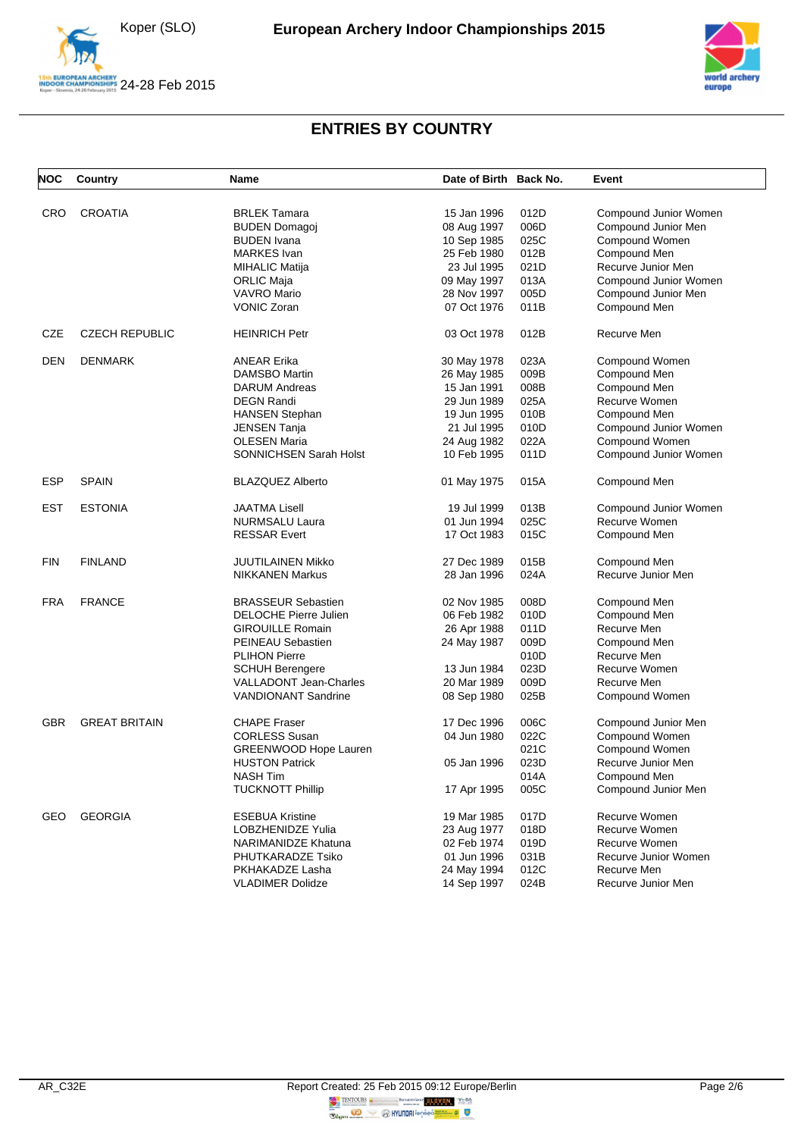

N ARCHERY<br>OPIONSHIPS 24-28 Feb 2015



| <b>NOC</b> | Country               | Name                                       | Date of Birth Back No.     |      | Event                                 |
|------------|-----------------------|--------------------------------------------|----------------------------|------|---------------------------------------|
| <b>CRO</b> | <b>CROATIA</b>        | <b>BRLEK Tamara</b>                        | 15 Jan 1996                | 012D | Compound Junior Women                 |
|            |                       |                                            |                            | 006D |                                       |
|            |                       | <b>BUDEN Domagoj</b><br><b>BUDEN</b> Ivana | 08 Aug 1997                | 025C | Compound Junior Men<br>Compound Women |
|            |                       | <b>MARKES</b> Ivan                         | 10 Sep 1985<br>25 Feb 1980 | 012B |                                       |
|            |                       |                                            | 23 Jul 1995                | 021D | Compound Men<br>Recurve Junior Men    |
|            |                       | MIHALIC Matija                             |                            | 013A | Compound Junior Women                 |
|            |                       | ORLIC Maja<br>VAVRO Mario                  | 09 May 1997<br>28 Nov 1997 | 005D |                                       |
|            |                       | <b>VONIC Zoran</b>                         | 07 Oct 1976                | 011B | Compound Junior Men                   |
|            |                       |                                            |                            |      | Compound Men                          |
| CZE        | <b>CZECH REPUBLIC</b> | <b>HEINRICH Petr</b>                       | 03 Oct 1978                | 012B | Recurve Men                           |
| <b>DEN</b> | <b>DENMARK</b>        | <b>ANEAR Erika</b>                         | 30 May 1978                | 023A | Compound Women                        |
|            |                       | DAMSBO Martin                              | 26 May 1985                | 009B | Compound Men                          |
|            |                       | <b>DARUM Andreas</b>                       | 15 Jan 1991                | 008B | Compound Men                          |
|            |                       | <b>DEGN Randi</b>                          | 29 Jun 1989                | 025A | Recurve Women                         |
|            |                       | <b>HANSEN Stephan</b>                      | 19 Jun 1995                | 010B | Compound Men                          |
|            |                       | JENSEN Tanja                               | 21 Jul 1995                | 010D | Compound Junior Women                 |
|            |                       | <b>OLESEN Maria</b>                        | 24 Aug 1982                | 022A | Compound Women                        |
|            |                       | <b>SONNICHSEN Sarah Holst</b>              | 10 Feb 1995                | 011D | Compound Junior Women                 |
| <b>ESP</b> | <b>SPAIN</b>          | <b>BLAZQUEZ Alberto</b>                    | 01 May 1975                | 015A | Compound Men                          |
| <b>EST</b> | <b>ESTONIA</b>        | <b>JAATMA Lisell</b>                       | 19 Jul 1999                | 013B | Compound Junior Women                 |
|            |                       | <b>NURMSALU Laura</b>                      | 01 Jun 1994                | 025C | Recurve Women                         |
|            |                       | <b>RESSAR Evert</b>                        | 17 Oct 1983                | 015C | Compound Men                          |
| <b>FIN</b> | <b>FINLAND</b>        | <b>JUUTILAINEN Mikko</b>                   | 27 Dec 1989                | 015B | Compound Men                          |
|            |                       | <b>NIKKANEN Markus</b>                     | 28 Jan 1996                | 024A | Recurve Junior Men                    |
| <b>FRA</b> | <b>FRANCE</b>         | <b>BRASSEUR Sebastien</b>                  | 02 Nov 1985                | 008D | Compound Men                          |
|            |                       | DELOCHE Pierre Julien                      | 06 Feb 1982                | 010D | Compound Men                          |
|            |                       | <b>GIROUILLE Romain</b>                    | 26 Apr 1988                | 011D | Recurve Men                           |
|            |                       | PEINEAU Sebastien                          | 24 May 1987                | 009D | Compound Men                          |
|            |                       | <b>PLIHON Pierre</b>                       |                            | 010D | Recurve Men                           |
|            |                       | <b>SCHUH Berengere</b>                     | 13 Jun 1984                | 023D | Recurve Women                         |
|            |                       | <b>VALLADONT Jean-Charles</b>              | 20 Mar 1989                | 009D | Recurve Men                           |
|            |                       | <b>VANDIONANT Sandrine</b>                 | 08 Sep 1980                | 025B | Compound Women                        |
| <b>GBR</b> | <b>GREAT BRITAIN</b>  | <b>CHAPE Fraser</b>                        | 17 Dec 1996                | 006C | Compound Junior Men                   |
|            |                       | <b>CORLESS Susan</b>                       | 04 Jun 1980                | 022C | Compound Women                        |
|            |                       | GREENWOOD Hope Lauren                      |                            | 021C | Compound Women                        |
|            |                       | <b>HUSTON Patrick</b>                      | 05 Jan 1996                | 023D | Recurve Junior Men                    |
|            |                       | NASH Tim                                   |                            | 014A |                                       |
|            |                       | <b>TUCKNOTT Phillip</b>                    | 17 Apr 1995                | 005C | Compound Men<br>Compound Junior Men   |
|            |                       |                                            |                            |      |                                       |
| GEO        | <b>GEORGIA</b>        | <b>ESEBUA Kristine</b>                     | 19 Mar 1985                | 017D | Recurve Women                         |
|            |                       | <b>LOBZHENIDZE Yulia</b>                   | 23 Aug 1977                | 018D | Recurve Women                         |
|            |                       | NARIMANIDZE Khatuna                        | 02 Feb 1974                | 019D | Recurve Women                         |
|            |                       | PHUTKARADZE Tsiko                          | 01 Jun 1996                | 031B | Recurve Junior Women                  |
|            |                       | PKHAKADZE Lasha                            | 24 May 1994                | 012C | Recurve Men                           |
|            |                       | <b>VLADIMER Dolidze</b>                    | 14 Sep 1997                | 024B | Recurve Junior Men                    |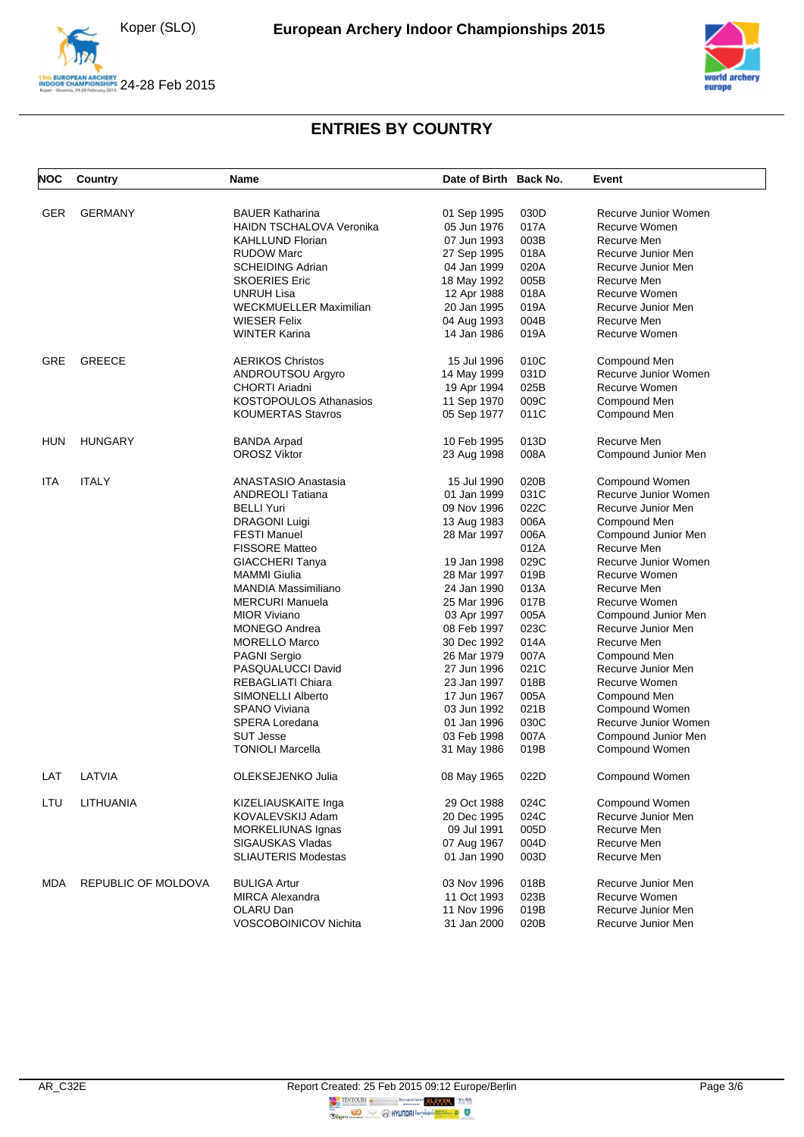





| <b>NOC</b> | Country             | Name                          | Date of Birth Back No. |      | Event                |
|------------|---------------------|-------------------------------|------------------------|------|----------------------|
|            |                     |                               |                        |      |                      |
| GER        | <b>GERMANY</b>      | <b>BAUER Katharina</b>        | 01 Sep 1995            | 030D | Recurve Junior Women |
|            |                     | HAIDN TSCHALOVA Veronika      | 05 Jun 1976            | 017A | Recurve Women        |
|            |                     | <b>KAHLLUND Florian</b>       | 07 Jun 1993            | 003B | Recurve Men          |
|            |                     | <b>RUDOW Marc</b>             | 27 Sep 1995            | 018A | Recurve Junior Men   |
|            |                     | <b>SCHEIDING Adrian</b>       | 04 Jan 1999            | 020A | Recurve Junior Men   |
|            |                     | <b>SKOERIES Eric</b>          | 18 May 1992            | 005B | Recurve Men          |
|            |                     | UNRUH Lisa                    | 12 Apr 1988            | 018A | Recurve Women        |
|            |                     | <b>WECKMUELLER Maximilian</b> | 20 Jan 1995            | 019A | Recurve Junior Men   |
|            |                     | <b>WIESER Felix</b>           | 04 Aug 1993            | 004B | Recurve Men          |
|            |                     | <b>WINTER Karina</b>          | 14 Jan 1986            | 019A | Recurve Women        |
| GRE        | <b>GREECE</b>       | <b>AERIKOS Christos</b>       | 15 Jul 1996            | 010C | Compound Men         |
|            |                     | ANDROUTSOU Argyro             | 14 May 1999            | 031D | Recurve Junior Women |
|            |                     | CHORTI Ariadni                | 19 Apr 1994            | 025B | Recurve Women        |
|            |                     | <b>KOSTOPOULOS Athanasios</b> | 11 Sep 1970            | 009C | Compound Men         |
|            |                     | <b>KOUMERTAS Stavros</b>      | 05 Sep 1977            | 011C | Compound Men         |
|            |                     |                               |                        |      |                      |
| HUN        | <b>HUNGARY</b>      | <b>BANDA Arpad</b>            | 10 Feb 1995            | 013D | Recurve Men          |
|            |                     | <b>OROSZ Viktor</b>           | 23 Aug 1998            | 008A | Compound Junior Men  |
| ITA        | <b>ITALY</b>        | <b>ANASTASIO Anastasia</b>    | 15 Jul 1990            | 020B | Compound Women       |
|            |                     | <b>ANDREOLI Tatiana</b>       | 01 Jan 1999            | 031C | Recurve Junior Women |
|            |                     | <b>BELLI Yuri</b>             | 09 Nov 1996            | 022C | Recurve Junior Men   |
|            |                     | <b>DRAGONI Luigi</b>          | 13 Aug 1983            | 006A | Compound Men         |
|            |                     | <b>FESTI Manuel</b>           | 28 Mar 1997            | 006A | Compound Junior Men  |
|            |                     | <b>FISSORE Matteo</b>         |                        | 012A | Recurve Men          |
|            |                     | <b>GIACCHERI Tanya</b>        | 19 Jan 1998            | 029C | Recurve Junior Women |
|            |                     | <b>MAMMI</b> Giulia           | 28 Mar 1997            | 019B | Recurve Women        |
|            |                     | <b>MANDIA Massimiliano</b>    | 24 Jan 1990            | 013A | Recurve Men          |
|            |                     | <b>MERCURI Manuela</b>        | 25 Mar 1996            | 017B | Recurve Women        |
|            |                     | <b>MIOR Viviano</b>           |                        | 005A |                      |
|            |                     |                               | 03 Apr 1997            | 023C | Compound Junior Men  |
|            |                     | <b>MONEGO Andrea</b>          | 08 Feb 1997            |      | Recurve Junior Men   |
|            |                     | <b>MORELLO Marco</b>          | 30 Dec 1992            | 014A | Recurve Men          |
|            |                     | <b>PAGNI Sergio</b>           | 26 Mar 1979            | 007A | Compound Men         |
|            |                     | PASQUALUCCI David             | 27 Jun 1996            | 021C | Recurve Junior Men   |
|            |                     | REBAGLIATI Chiara             | 23 Jan 1997            | 018B | Recurve Women        |
|            |                     | SIMONELLI Alberto             | 17 Jun 1967            | 005A | Compound Men         |
|            |                     | <b>SPANO Viviana</b>          | 03 Jun 1992            | 021B | Compound Women       |
|            |                     | SPERA Loredana                | 01 Jan 1996            | 030C | Recurve Junior Women |
|            |                     | <b>SUT Jesse</b>              | 03 Feb 1998            | 007A | Compound Junior Men  |
|            |                     | <b>TONIOLI Marcella</b>       | 31 May 1986            | 019B | Compound Women       |
|            | LAT LATVIA          | OLEKSEJENKO Julia             | 08 May 1965            | 022D | Compound Women       |
| LTU        | LITHUANIA           | KIZELIAUSKAITE Inga           | 29 Oct 1988            | 024C | Compound Women       |
|            |                     | KOVALEVSKIJ Adam              | 20 Dec 1995            | 024C | Recurve Junior Men   |
|            |                     | <b>MORKELIUNAS Ignas</b>      | 09 Jul 1991            | 005D | Recurve Men          |
|            |                     | <b>SIGAUSKAS Vladas</b>       | 07 Aug 1967            | 004D | Recurve Men          |
|            |                     | <b>SLIAUTERIS Modestas</b>    | 01 Jan 1990            | 003D | Recurve Men          |
|            |                     |                               |                        |      |                      |
| MDA        | REPUBLIC OF MOLDOVA | <b>BULIGA Artur</b>           | 03 Nov 1996            | 018B | Recurve Junior Men   |
|            |                     | <b>MIRCA Alexandra</b>        | 11 Oct 1993            | 023B | Recurve Women        |
|            |                     | OLARU Dan                     | 11 Nov 1996            | 019B | Recurve Junior Men   |
|            |                     | VOSCOBOINICOV Nichita         | 31 Jan 2000            | 020B | Recurve Junior Men   |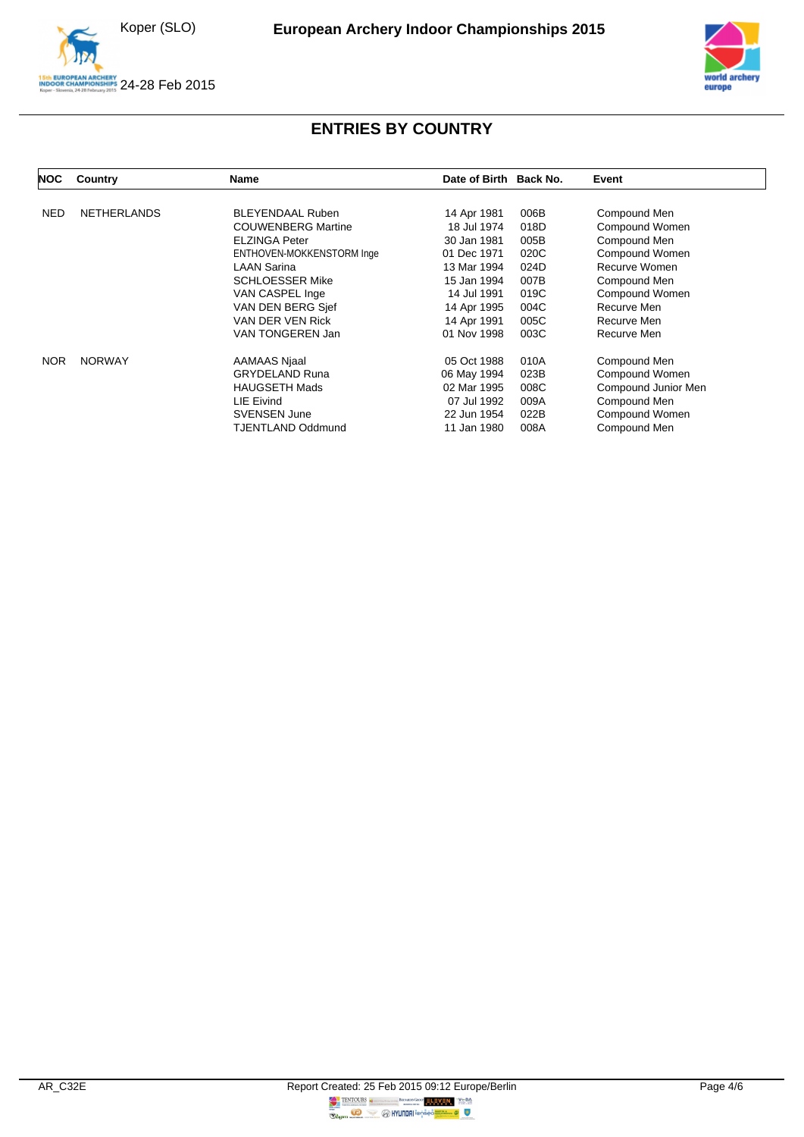Koper (SLO)





| <b>NOC</b> | Country            | <b>Name</b>               | Date of Birth Back No. |      | Event               |
|------------|--------------------|---------------------------|------------------------|------|---------------------|
| <b>NED</b> | <b>NETHERLANDS</b> | <b>BLEYENDAAL Ruben</b>   | 14 Apr 1981            | 006B | Compound Men        |
|            |                    | <b>COUWENBERG Martine</b> | 18 Jul 1974            | 018D | Compound Women      |
|            |                    | <b>ELZINGA Peter</b>      | 30 Jan 1981            | 005B | Compound Men        |
|            |                    | ENTHOVEN-MOKKENSTORM Inge | 01 Dec 1971            | 020C | Compound Women      |
|            |                    | <b>LAAN Sarina</b>        | 13 Mar 1994            | 024D | Recurve Women       |
|            |                    | <b>SCHLOESSER Mike</b>    | 15 Jan 1994            | 007B | Compound Men        |
|            |                    | VAN CASPEL Inge           | 14 Jul 1991            | 019C | Compound Women      |
|            |                    | VAN DEN BERG Sjef         | 14 Apr 1995            | 004C | Recurve Men         |
|            |                    | VAN DER VEN Rick          | 14 Apr 1991            | 005C | Recurve Men         |
|            |                    | VAN TONGEREN Jan          | 01 Nov 1998            | 003C | Recurve Men         |
| <b>NOR</b> | <b>NORWAY</b>      | AAMAAS Njaal              | 05 Oct 1988            | 010A | Compound Men        |
|            |                    | <b>GRYDELAND Runa</b>     | 06 May 1994            | 023B | Compound Women      |
|            |                    | <b>HAUGSETH Mads</b>      | 02 Mar 1995            | 008C | Compound Junior Men |
|            |                    | LIE Eivind                | 07 Jul 1992            | 009A | Compound Men        |
|            |                    | <b>SVENSEN June</b>       | 22 Jun 1954            | 022B | Compound Women      |
|            |                    | TJENTLAND Oddmund         | 11 Jan 1980            | 008A | Compound Men        |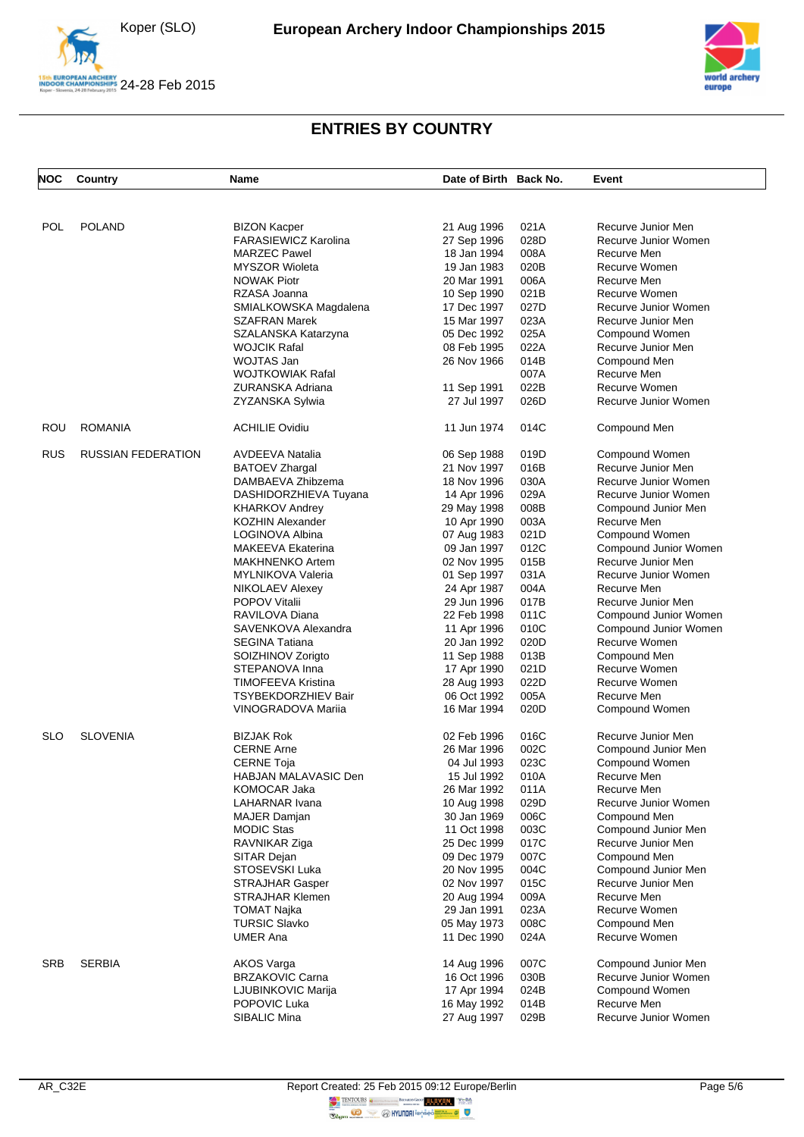Koper (SLO)





| <b>NOC</b> | <b>Country</b>            | Name                        | Date of Birth Back No. |      | Event                 |
|------------|---------------------------|-----------------------------|------------------------|------|-----------------------|
|            |                           |                             |                        |      |                       |
| <b>POL</b> | <b>POLAND</b>             | <b>BIZON Kacper</b>         | 21 Aug 1996            | 021A | Recurve Junior Men    |
|            |                           | <b>FARASIEWICZ Karolina</b> | 27 Sep 1996            | 028D | Recurve Junior Women  |
|            |                           | <b>MARZEC Pawel</b>         | 18 Jan 1994            | 008A | Recurve Men           |
|            |                           | <b>MYSZOR Wioleta</b>       | 19 Jan 1983            | 020B | Recurve Women         |
|            |                           | <b>NOWAK Piotr</b>          | 20 Mar 1991            | 006A | Recurve Men           |
|            |                           | RZASA Joanna                | 10 Sep 1990            | 021B | Recurve Women         |
|            |                           | SMIALKOWSKA Magdalena       | 17 Dec 1997            | 027D | Recurve Junior Women  |
|            |                           | <b>SZAFRAN Marek</b>        | 15 Mar 1997            | 023A | Recurve Junior Men    |
|            |                           | SZALANSKA Katarzyna         | 05 Dec 1992            | 025A | Compound Women        |
|            |                           | <b>WOJCIK Rafal</b>         | 08 Feb 1995            | 022A | Recurve Junior Men    |
|            |                           | <b>WOJTAS Jan</b>           | 26 Nov 1966            | 014B | Compound Men          |
|            |                           |                             |                        | 007A | Recurve Men           |
|            |                           | <b>WOJTKOWIAK Rafal</b>     |                        |      |                       |
|            |                           | ZURANSKA Adriana            | 11 Sep 1991            | 022B | Recurve Women         |
|            |                           | ZYZANSKA Sylwia             | 27 Jul 1997            | 026D | Recurve Junior Women  |
| ROU        | <b>ROMANIA</b>            | <b>ACHILIE Ovidiu</b>       | 11 Jun 1974            | 014C | Compound Men          |
| <b>RUS</b> | <b>RUSSIAN FEDERATION</b> | <b>AVDEEVA Natalia</b>      | 06 Sep 1988            | 019D | Compound Women        |
|            |                           | <b>BATOEV Zhargal</b>       | 21 Nov 1997            | 016B | Recurve Junior Men    |
|            |                           | DAMBAEVA Zhibzema           | 18 Nov 1996            | 030A | Recurve Junior Women  |
|            |                           | DASHIDORZHIEVA Tuyana       | 14 Apr 1996            | 029A | Recurve Junior Women  |
|            |                           |                             |                        |      |                       |
|            |                           | <b>KHARKOV Andrey</b>       | 29 May 1998            | 008B | Compound Junior Men   |
|            |                           | <b>KOZHIN Alexander</b>     | 10 Apr 1990            | 003A | Recurve Men           |
|            |                           | LOGINOVA Albina             | 07 Aug 1983            | 021D | Compound Women        |
|            |                           | <b>MAKEEVA Ekaterina</b>    | 09 Jan 1997            | 012C | Compound Junior Women |
|            |                           | <b>MAKHNENKO Artem</b>      | 02 Nov 1995            | 015B | Recurve Junior Men    |
|            |                           | <b>MYLNIKOVA Valeria</b>    | 01 Sep 1997            | 031A | Recurve Junior Women  |
|            |                           | <b>NIKOLAEV Alexey</b>      | 24 Apr 1987            | 004A | Recurve Men           |
|            |                           | <b>POPOV Vitalii</b>        | 29 Jun 1996            | 017B | Recurve Junior Men    |
|            |                           | RAVILOVA Diana              | 22 Feb 1998            | 011C | Compound Junior Women |
|            |                           | SAVENKOVA Alexandra         | 11 Apr 1996            | 010C | Compound Junior Women |
|            |                           | <b>SEGINA Tatiana</b>       | 20 Jan 1992            | 020D | Recurve Women         |
|            |                           | SOIZHINOV Zorigto           | 11 Sep 1988            | 013B | Compound Men          |
|            |                           | STEPANOVA Inna              | 17 Apr 1990            | 021D | Recurve Women         |
|            |                           |                             |                        | 022D |                       |
|            |                           | <b>TIMOFEEVA Kristina</b>   | 28 Aug 1993            |      | Recurve Women         |
|            |                           | <b>TSYBEKDORZHIEV Bair</b>  | 06 Oct 1992            | 005A | Recurve Men           |
|            |                           | VINOGRADOVA Mariia          | 16 Mar 1994            | 020D | Compound Women        |
| <b>SLO</b> | <b>SLOVENIA</b>           | <b>BIZJAK Rok</b>           | 02 Feb 1996            | 016C | Recurve Junior Men    |
|            |                           | <b>CERNE Arne</b>           | 26 Mar 1996            | 002C | Compound Junior Men   |
|            |                           | <b>CERNE Toja</b>           | 04 Jul 1993            | 023C | Compound Women        |
|            |                           | HABJAN MALAVASIC Den        | 15 Jul 1992            | 010A | Recurve Men           |
|            |                           | <b>KOMOCAR Jaka</b>         | 26 Mar 1992            | 011A | Recurve Men           |
|            |                           | LAHARNAR Ivana              | 10 Aug 1998            | 029D | Recurve Junior Women  |
|            |                           |                             |                        |      |                       |
|            |                           | MAJER Damjan                | 30 Jan 1969            | 006C | Compound Men          |
|            |                           | <b>MODIC Stas</b>           | 11 Oct 1998            | 003C | Compound Junior Men   |
|            |                           | RAVNIKAR Ziga               | 25 Dec 1999            | 017C | Recurve Junior Men    |
|            |                           | SITAR Dejan                 | 09 Dec 1979            | 007C | Compound Men          |
|            |                           | STOSEVSKI Luka              | 20 Nov 1995            | 004C | Compound Junior Men   |
|            |                           | <b>STRAJHAR Gasper</b>      | 02 Nov 1997            | 015C | Recurve Junior Men    |
|            |                           | <b>STRAJHAR Klemen</b>      | 20 Aug 1994            | 009A | Recurve Men           |
|            |                           | <b>TOMAT Najka</b>          | 29 Jan 1991            | 023A | Recurve Women         |
|            |                           | <b>TURSIC Slavko</b>        | 05 May 1973            | 008C | Compound Men          |
|            |                           | <b>UMER Ana</b>             | 11 Dec 1990            | 024A | Recurve Women         |
| <b>SRB</b> | <b>SERBIA</b>             | AKOS Varga                  | 14 Aug 1996            | 007C | Compound Junior Men   |
|            |                           | <b>BRZAKOVIC Carna</b>      | 16 Oct 1996            | 030B | Recurve Junior Women  |
|            |                           | LJUBINKOVIC Marija          | 17 Apr 1994            | 024B | Compound Women        |
|            |                           | POPOVIC Luka                | 16 May 1992            | 014B | Recurve Men           |
|            |                           | SIBALIC Mina                | 27 Aug 1997            | 029B | Recurve Junior Women  |
|            |                           |                             |                        |      |                       |